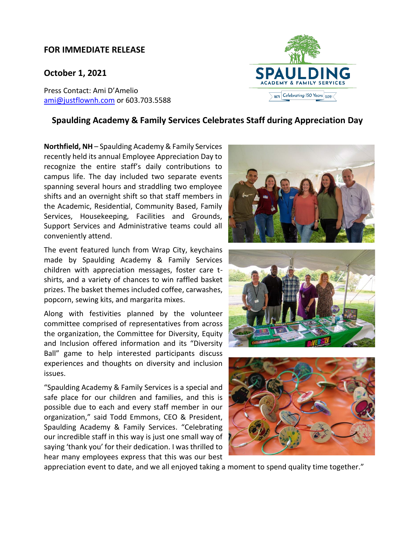## **FOR IMMEDIATE RELEASE**

## **October 1, 2021**

Press Contact: Ami D'Amelio [ami@justflownh.com](mailto:ami@justflownh.com)</u> or 603.703.5588



## **Spaulding Academy & Family Services Celebrates Staff during Appreciation Day**

**Northfield, NH** – Spaulding Academy & Family Services recently held its annual Employee Appreciation Day to recognize the entire staff's daily contributions to campus life. The day included two separate events spanning several hours and straddling two employee shifts and an overnight shift so that staff members in the Academic, Residential, Community Based, Family Services, Housekeeping, Facilities and Grounds, Support Services and Administrative teams could all conveniently attend.

The event featured lunch from Wrap City, keychains made by Spaulding Academy & Family Services children with appreciation messages, foster care tshirts, and a variety of chances to win raffled basket prizes. The basket themes included coffee, carwashes, popcorn, sewing kits, and margarita mixes.

Along with festivities planned by the volunteer committee comprised of representatives from across the organization, the Committee for Diversity, Equity and Inclusion offered information and its "Diversity Ball" game to help interested participants discuss experiences and thoughts on diversity and inclusion issues.

"Spaulding Academy & Family Services is a special and safe place for our children and families, and this is possible due to each and every staff member in our organization," said Todd Emmons, CEO & President, Spaulding Academy & Family Services. "Celebrating our incredible staff in this way is just one small way of saying 'thank you' for their dedication. I was thrilled to hear many employees express that this was our best







appreciation event to date, and we all enjoyed taking a moment to spend quality time together."